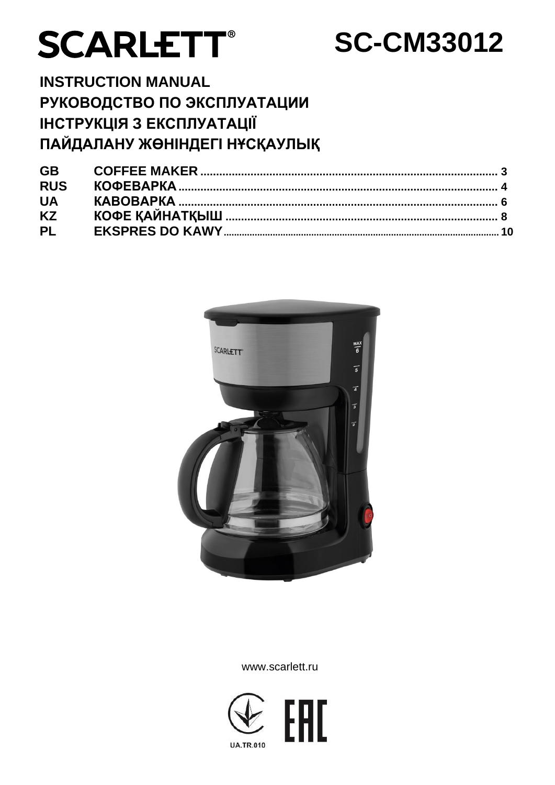# **SCARLETT®**

# **SC-CM33012**

## **INSTRUCTION MANUAL** РУКОВОДСТВО ПО ЭКСПЛУАТАЦИИ ІНСТРУКЦІЯ З ЕКСПЛУАТАЦІЇ ПАЙДАЛАНУ ЖӨНІНДЕГІ НҰСҚАУЛЫҚ

| <b>GB</b>  |  |
|------------|--|
| <b>RUS</b> |  |
| <b>UA</b>  |  |
| <b>KZ</b>  |  |
| <b>PL</b>  |  |



#### www.scarlett.ru

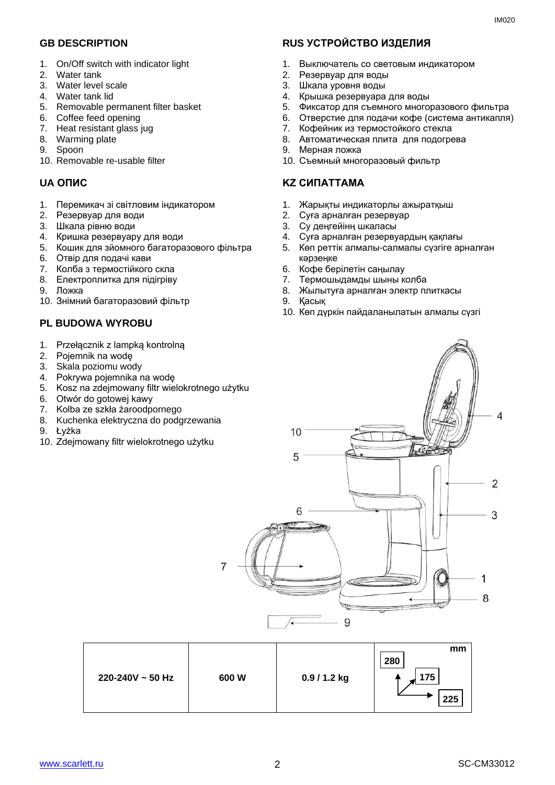- 1. On/Off switch with indicator light
- 2. Water tank
- 3. Water level scale
- 4. Water tank lid
- 5. Removable permanent filter basket
- 6. Coffee feed opening
- 7. Heat resistant glass jug
- 8. Warming plate
- 9. Spoon
- 10. Removable re-usable filter

- 1. Перемикач зі світловим індикатором
- 2. Резервуар для води
- 3. Шкала рівню води
- 4. Кришка резервуару для води
- 5. Кошик для зйомного багаторазового фільтра
- 6. Отвір для подачі кави
- 7. Колба з термостійкого скла
- 8. Електроплитка для підігріву
- 9. Ложка
- 10. Знімний багаторазовий фільтр

#### **PL BUDOWA WYROBU**

- 1. Przełącznik z lampką kontrolną
- 2. Pojemnik na wodę
- 3. Skala poziomu wody
- 4. Pokrywa pojemnika na wodę
- 5. Kosz na zdejmowany filtr wielokrotnego użytku
- 6. Otwór do gotowej kawy
- 7. Kolba ze szkła żaroodpornego
- 8. Kuchenka elektryczna do podgrzewania
- 9. Łyżka
- 10. Zdejmowany filtr wielokrotnego użytku

#### **GB DESCRIPTION RUS УСТРОЙСТВО ИЗДЕЛИЯ**

- 1. Выключатель со световым индикатором
- 2. Резервуар для воды
- 3. Шкала уровня воды
- 4. Крышка резервуара для воды
- 5. Фиксатор для съемного многоразового фильтра
- 6. Отверстие для подачи кофе (система антикапля)
- 7. Кофейник из термостойкого стекла
	- 8. Автоматическая плита для подогрева
	- 9. Мерная ложка
	- 10. Съемный многоразовый фильтр

#### **UA ОПИС KZ СИПАТТАМА**

- 1. Жарықты индикаторлы ажыратқыш
- 2. Суға арналған резервуар
- 3. Су деңгейінң шкаласы
- 4. Суға арналған резервуардың қақпағы
- 5. Көп реттік алмалы-салмалы сүзгіге арналған кәрзеңке
- 6. Кофе берілетін саңылау
- 7. Термошыдамды шыны колба
- 8. Жылытуға арналған электр плиткасы
- 9. Қасық
- 10. Көп дүркін пайдаланылатын алмалы сүзгі



| 225 |  | $220 - 240V \sim 50$ Hz | 600W | 0.9 / 1.2 kg | mm<br>280<br>175 |
|-----|--|-------------------------|------|--------------|------------------|
|-----|--|-------------------------|------|--------------|------------------|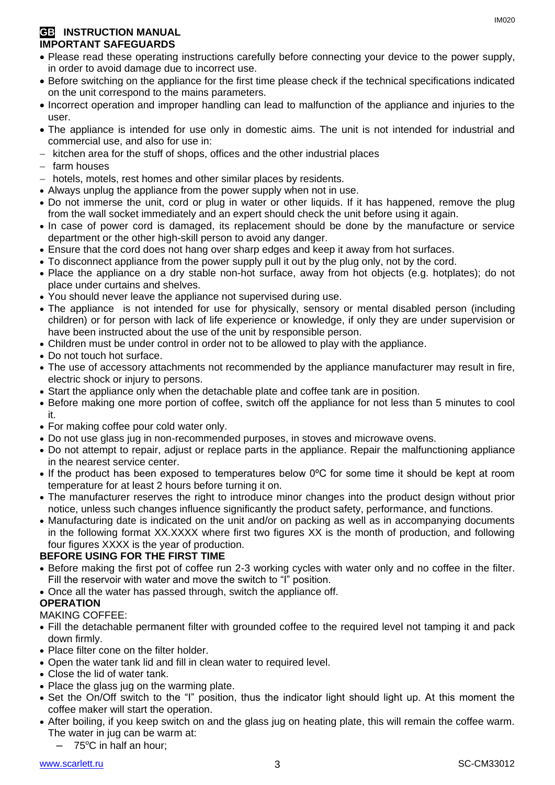#### **GB INSTRUCTION MANUAL IMPORTANT SAFEGUARDS**

- Please read these operating instructions carefully before connecting your device to the power supply, in order to avoid damage due to incorrect use.
- Before switching on the appliance for the first time please check if the technical specifications indicated on the unit correspond to the mains parameters.
- Incorrect operation and improper handling can lead to malfunction of the appliance and injuries to the user.
- The appliance is intended for use only in domestic aims. The unit is not intended for industrial and commercial use, and also for use in:
- kitchen area for the stuff of shops, offices and the other industrial places
- farm houses
- hotels, motels, rest homes and other similar places by residents.
- Always unplug the appliance from the power supply when not in use.
- Do not immerse the unit, cord or plug in water or other liquids. If it has happened, remove the plug from the wall socket immediately and an expert should check the unit before using it again.
- In case of power cord is damaged, its replacement should be done by the manufacture or service department or the other high-skill person to avoid any danger.
- Ensure that the cord does not hang over sharp edges and keep it away from hot surfaces.
- To disconnect appliance from the power supply pull it out by the plug only, not by the cord.
- Place the appliance on a dry stable non-hot surface, away from hot objects (e.g. hotplates); do not place under curtains and shelves.
- You should never leave the appliance not supervised during use.
- The appliance is not intended for use for [physically, sensory or mental disabled](https://www.multitran.ru/c/m.exe?t=5841801_1_2&s1=%F7%E5%EB%EE%E2%E5%EA%20%F1%20%EE%E3%F0%E0%ED%E8%F7%E5%ED%ED%FB%EC%E8%20%E2%EE%E7%EC%EE%E6%ED%EE%F1%F2%FF%EC%E8) person (including children) or for person with lack of life experience or knowledge, if only they are under supervision or have been instructed about the use of the unit by responsible person.
- Children must be under control in order not to be allowed to play with the appliance.
- Do not touch hot surface.
- The use of accessory attachments not recommended by the appliance manufacturer may result in fire, electric shock or injury to persons.
- Start the appliance only when the detachable plate and coffee tank are in position.
- Before making one more portion of coffee, switch off the appliance for not less than 5 minutes to cool it.
- For making coffee pour cold water only.
- Do not use glass jug in non-recommended purposes, in stoves and microwave ovens.
- Do not attempt to repair, adjust or replace parts in the appliance. Repair the malfunctioning appliance in the nearest service center.
- If the product has been exposed to temperatures below 0ºC for some time it should be kept at room temperature for at least 2 hours before turning it on.
- The manufacturer reserves the right to introduce minor changes into the product design without prior notice, unless such changes influence significantly the product safety, performance, and functions.
- Manufacturing date is indicated on the unit and/or on packing as well as in accompanying documents in the following format XX.XXXX where first two figures XX is the month of production, and following four figures XXXX is the year of production.

#### **BEFORE USING FOR THE FIRST TIME**

- Before making the first pot of coffee run 2-3 working cycles with water only and no coffee in the filter. Fill the reservoir with water and move the switch to "I" position.
- Once all the water has passed through, switch the appliance off.

#### **OPERATION**

#### MAKING COFFEE:

- Fill the detachable permanent filter with grounded coffee to the required level not tamping it and pack down firmly.
- Place filter cone on the filter holder.
- Open the water tank lid and fill in clean water to required level.
- Close the lid of water tank.
- Place the glass jug on the warming plate.
- Set the On/Off switch to the "I" position, thus the indicator light should light up. At this moment the coffee maker will start the operation.
- After boiling, if you keep switch on and the glass jug on heating plate, this will remain the coffee warm. The water in jug can be warm at:
	- $-75^{\circ}$ C in half an hour: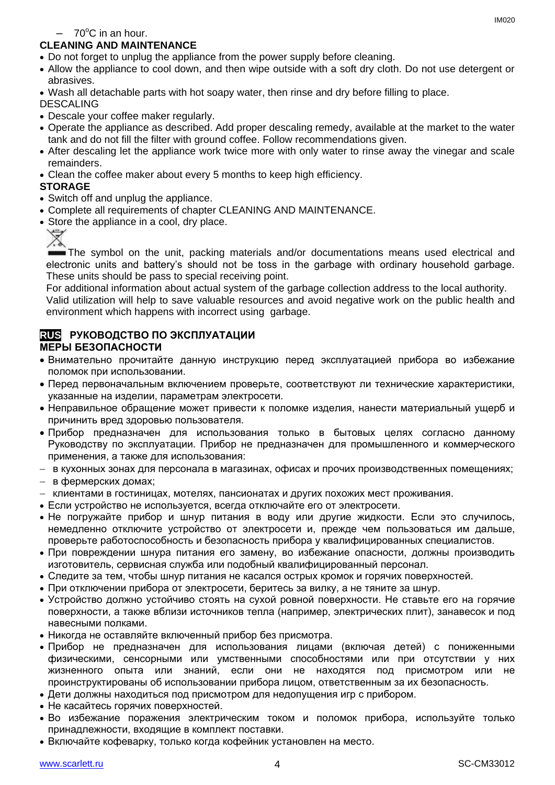$-70^{\circ}$ C in an hour.

#### **CLEANING AND MAINTENANCE**

- Do not forget to unplug the appliance from the power supply before cleaning.
- Allow the appliance to cool down, and then wipe outside with a soft dry cloth. Do not use detergent or abrasives.
- Wash all detachable parts with hot soapy water, then rinse and dry before filling to place.

DESCALING

- Descale your coffee maker regularly.
- Operate the appliance as described. Add proper descaling remedy, available at the market to the water tank and do not fill the filter with ground coffee. Follow recommendations given.
- After descaling let the appliance work twice more with only water to rinse away the vinegar and scale remainders.
- Clean the coffee maker about every 5 months to keep high efficiency.

#### **STORAGE**

- Switch off and unplug the appliance.
- Complete all requirements of chapter CLEANING AND MAINTENANCE.
- Store the appliance in a cool, dry place.



The symbol on the unit, packing materials and/or documentations means used electrical and electronic units and battery's should not be toss in the garbage with ordinary household garbage. These units should be pass to special receiving point.

For additional information about actual system of the garbage collection address to the local authority.

Valid utilization will help to save valuable resources and avoid negative work on the public health and environment which happens with incorrect using garbage.

#### **RUS РУКОВОДСТВО ПО ЭКСПЛУАТАЦИИ МЕРЫ БЕЗОПАСНОСТИ**

- Внимательно прочитайте данную инструкцию перед эксплуатацией прибора во избежание поломок при использовании.
- Перед первоначальным включением проверьте, соответствуют ли технические характеристики, указанные на изделии, параметрам электросети.
- Неправильное обращение может привести к поломке изделия, нанести материальный ущерб и причинить вред здоровью пользователя.
- Прибор предназначен для использования только в бытовых целях согласно данному Руководству по эксплуатации. Прибор не предназначен для промышленного и коммерческого применения, а также для использования:
- в кухонных зонах для персонала в магазинах, офисах и прочих производственных помещениях;
- в фермерских домах;
- клиентами в гостиницах, мотелях, пансионатах и других похожих мест проживания.
- Если устройство не используется, всегда отключайте его от электросети.
- Не погружайте прибор и шнур питания в воду или другие жидкости. Если это случилось, немедленно отключите устройство от электросети и, прежде чем пользоваться им дальше, проверьте работоспособность и безопасность прибора у квалифицированных специалистов.
- При повреждении шнура питания его замену, во избежание опасности, должны производить изготовитель, сервисная служба или подобный квалифицированный персонал.
- Следите за тем, чтобы шнур питания не касался острых кромок и горячих поверхностей.
- При отключении прибора от электросети, беритесь за вилку, а не тяните за шнур.
- Устройство должно устойчиво стоять на сухой ровной поверхности. Не ставьте его на горячие поверхности, а также вблизи источников тепла (например, электрических плит), занавесок и под навесными полками.
- Никогда не оставляйте включенный прибор без присмотра.
- Прибор не предназначен для использования лицами (включая детей) с пониженными физическими, сенсорными или умственными способностями или при отсутствии у них жизненного опыта или знаний, если они не находятся под присмотром или не проинструктированы об использовании прибора лицом, ответственным за их безопасность.
- Дети должны находиться под присмотром для недопущения игр с прибором.
- Не касайтесь горячих поверхностей.
- Во избежание поражения электрическим током и поломок прибора, используйте только принадлежности, входящие в комплект поставки.
- Включайте кофеварку, только когда кофейник установлен на место.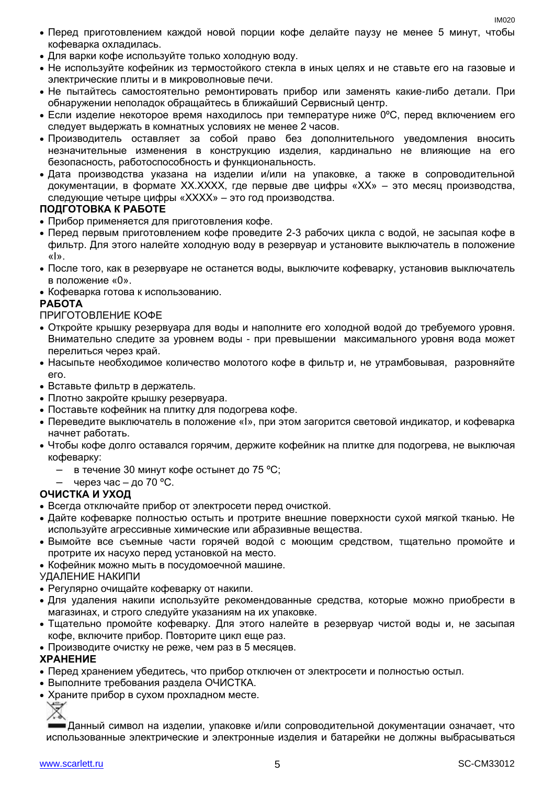IM020

- Перед приготовлением каждой новой порции кофе делайте паузу не менее 5 минут, чтобы кофеварка охладилась.
- Для варки кофе используйте только холодную воду.
- Не используйте кофейник из термостойкого стекла в иных целях и не ставьте его на газовые и электрические плиты и в микроволновые печи.
- Не пытайтесь самостоятельно ремонтировать прибор или заменять какие-либо детали. При обнаружении неполадок обращайтесь в ближайший Сервисный центр.
- $\bullet$  Если изделие некоторое время находилось при температуре ниже 0°С, перед включением его следует выдержать в комнатных условиях не менее 2 часов.
- Производитель оставляет за собой право без дополнительного уведомления вносить незначительные изменения в конструкцию изделия, кардинально не влияющие на его безопасность, работоспособность и функциональность.
- Дата производства указана на изделии и/или на упаковке, а также в сопроводительной документации, в формате XX.XXXX, где первые две цифры «XX» – это месяц производства, следующие четыре цифры «XXXX» – это год производства.

#### **ПОДГОТОВКА К РАБОТЕ**

- Прибор применяется для приготовления кофе.
- Перед первым приготовлением кофе проведите 2-3 рабочих цикла с водой, не засыпая кофе в фильтр. Для этого налейте холодную воду в резервуар и установите выключатель в положение «I».
- После того, как в резервуаре не останется воды, выключите кофеварку, установив выключатель в положение «0».
- Кофеварка готова к использованию.

#### **РАБОТА**

ПРИГОТОВЛЕНИЕ КОФЕ

- Откройте крышку резервуара для воды и наполните его холодной водой до требуемого уровня. Внимательно следите за уровнем воды - при превышении максимального уровня вода может перелиться через край.
- Насыпьте необходимое количество молотого кофе в фильтр и, не утрамбовывая, разровняйте его.
- Вставьте фильтр в держатель.
- Плотно закройте крышку резервуара.
- Поставьте кофейник на плитку для подогрева кофе.
- Переведите выключатель в положение «I», при этом загорится световой индикатор, и кофеварка начнет работать.
- Чтобы кофе долго оставался горячим, держите кофейник на плитке для подогрева, не выключая кофеварку:
	- в течение 30 минут кофе остынет до 75 °С;
	- через час до 70 °С.

#### **ОЧИСТКА И УХОД**

- Всегда отключайте прибор от электросети перед очисткой.
- Дайте кофеварке полностью остыть и протрите внешние поверхности сухой мягкой тканью. Не используйте агрессивные химические или абразивные вещества.
- Вымойте все съемные части горячей водой с моющим средством, тщательно промойте и протрите их насухо перед установкой на место.
- Кофейник можно мыть в посудомоечной машине.

УДАЛЕНИЕ НАКИПИ

- Регулярно очищайте кофеварку от накипи.
- Для удаления накипи используйте рекомендованные средства, которые можно приобрести в магазинах, и строго следуйте указаниям на их упаковке.
- Тщательно промойте кофеварку. Для этого налейте в резервуар чистой воды и, не засыпая кофе, включите прибор. Повторите цикл еще раз.
- Производите очистку не реже, чем раз в 5 месяцев.

#### **ХРАНЕНИЕ**

- Перед хранением убедитесь, что прибор отключен от электросети и полностью остыл.
- Выполните требования раздела ОЧИСТКА.
- Храните прибор в сухом прохладном месте.

Данный символ на изделии, упаковке и/или сопроводительной документации означает, что использованные электрические и электронные изделия и батарейки не должны выбрасываться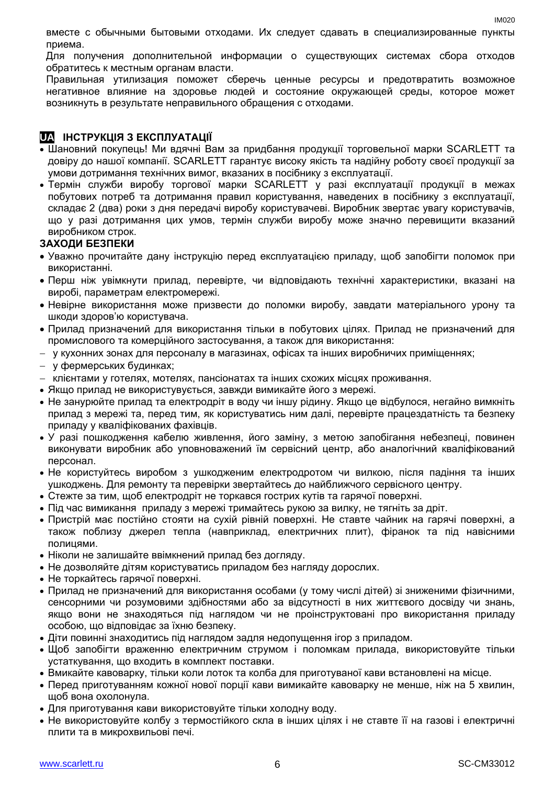вместе с обычными бытовыми отходами. Их следует сдавать в специализированные пункты приема.

Для получения дополнительной информации о существующих системах сбора отходов обратитесь к местным органам власти.

Правильная утилизация поможет сберечь ценные ресурсы и предотвратить возможное негативное влияние на здоровье людей и состояние окружающей среды, которое может возникнуть в результате неправильного обращения с отходами.

#### **UA ІНСТРУКЦІЯ З ЕКСПЛУАТАЦІЇ**

- Шановний покупець! Ми вдячні Вам за придбання продукції торговельної марки SCARLETT та довіру до нашої компанії. SCARLETT гарантує високу якість та надійну роботу своєї продукції за умови дотримання технічних вимог, вказаних в посібнику з експлуатації.
- Термін служби виробу торгової марки SCARLETT у разі експлуатації продукції в межах побутових потреб та дотримання правил користування, наведених в посібнику з експлуатації, складає 2 (два) роки з дня передачі виробу користувачеві. Виробник звертає увагу користувачів, що у разі дотримання цих умов, термін служби виробу може значно перевищити вказаний виробником строк.

#### **ЗАХОДИ БЕЗПЕКИ**

- Уважно прочитайте дану інструкцію перед експлуатацією приладу, щоб запобігти поломок при використанні.
- Перш ніж увімкнути прилад, перевірте, чи відповідають технічні характеристики, вказані на виробі, параметрам електромережі.
- Невiрне використання може призвести до поломки виробу, завдати матеріального урону та шкоди здоров'ю користувача.
- Прилад призначений для використання тільки в побутових цілях. Прилад не призначений для промислового та комерційного застосування, а також для використання:
- у кухонних зонах для персоналу в магазинах, офісах та інших виробничих приміщеннях;
- у фермерських будинках;
- клієнтами у готелях, мотелях, пансіонатах та інших схожих місцях проживання.
- Якщо прилад не використувується, завжди вимикайте його з мережі.
- Не занурюйте прилад та електродріт в воду чи іншу рідину. Якщо це відбулося, негайно вимкніть прилад з мережі та, перед тим, як користуватись ним далі, перевірте працездатність та безпеку приладу у кваліфікованих фахівців.
- У разі пошкодження кабелю живлення, його заміну, з метою запобігання небезпеці, повинен виконувати виробник або уповноважений їм сервісний центр, або аналогічний кваліфікований персонал.
- Не користуйтесь виробом з ушкодженим електродротом чи вилкою, після падіння та інших ушкоджень. Для ремонту та перевірки звертайтесь до найближчого сервісного центру.
- Стежте за тим, щоб електродріт не торкався гострих кутів та гарячої поверхні.
- Під час вимикання приладу з мережі тримайтесь рукою за вилку, не тягніть за дріт.
- Пристрій має постійно стояти на сухій рівній поверхні. Не ставте чайник на гарячі поверхні, а також поблизу джерел тепла (навприклад, електричних плит), фіранок та під навісними полицями.
- Ніколи не залишайте ввімкнений прилад без догляду.
- Не дозволяйте дітям користуватись приладом без нагляду дорослих.
- Не торкайтесь гарячої поверхні.
- Прилад не призначений для використання особами (у тому числі дітей) зі зниженими фізичними, сенсорними чи розумовими здібностями або за відсутності в них життєвого досвіду чи знань, якщо вони не знаходяться під наглядом чи не проінструктовані про використання приладу особою, що відповідає за їхню безпеку.
- Діти повинні знаходитись під наглядом задля недопущення ігор з приладом.
- Щоб запобігти враженню електричним струмом і поломкам прилада, використовуйте тільки устаткування, що входить в комплект поставки.
- Вмикайте кавоварку, тільки коли лоток та колба для приготуваної кави встановлені на місце.
- Перед приготуванням кожної нової порції кави вимикайте кавоварку не менше, ніж на 5 хвилин, щоб вона охолонула.
- Для приготування кави використовуйте тільки холодну воду.
- Не використовуйте колбу з термостійкого скла в інших цілях і не ставте її на газові і електричні плити та в микрохвильові печі.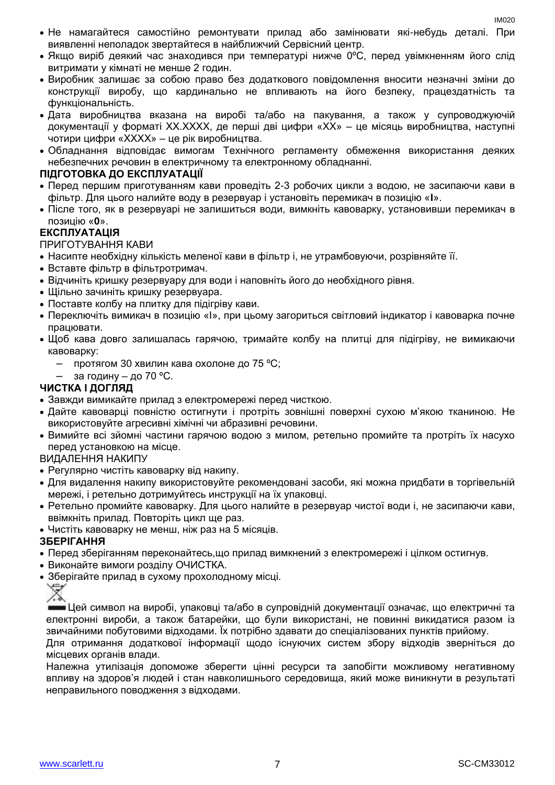- Не намагайтеся самостійно ремонтувати прилад або замінювати які-небудь деталі. При виявленні неполадок звертайтеся в найближчий Сервісний центр.
- Якщо виріб деякий час знаходився при температурі нижче 0ºC, перед увімкненням його слід витримати у кімнаті не менше 2 годин.
- Виробник залишає за собою право без додаткового повідомлення вносити незначні зміни до конструкції виробу, що кардинально не впливають на його безпеку, працездатність та функціональність.
- Дата виробництва вказана на виробі та/або на пакування, а також у супроводжуючій документації у форматі XX.XXXX, де перші дві цифри «XX» – це місяць виробництва, наступні чотири цифри «XXXX» – це рік виробництва.
- Обладнання відповідає вимогам Технічного регламенту обмеження використання деяких небезпечних речовин в електричному та електронному обладнанні.

#### **ПІДГОТОВКА ДО ЕКСПЛУАТАЦІЇ**

- Перед першим приготуванням кави проведіть 2-3 робочих цикли з водою, не засипаючи кави в фільтр. Для цього налийте воду в резервуар і установіть перемикач в позицію «**I**».
- Післе того, як в резервуарі не залишиться води, вимкніть кавоварку, установивши перемикач в позицію «**0**».

#### **ЕКСПЛУАТАЦІЯ**

ПРИГОТУВАННЯ КАВИ

- Насипте необхідну кількість меленої кави в фільтр і, не утрамбовуючи, розрівняйте її.
- Вставте фільтр в фільтротримач.
- Відчиніть кришку резервуару для води і наповніть його до необхідного рівня.
- Шільно зачиніть кришку резервуара.
- Поставте колбу на плитку для підігріву кави.
- Переключіть вимикач в позицію «I», при цьому загориться світловий індикатор і кавоварка почне працювати.
- Щоб кава довго залишалась гарячою, тримайте колбу на плитці для підігріву, не вимикаючи кавоварку:
	- протягом 30 хвилин кава охолоне до 75 ºC;
	- за годину до 70 °С.

#### **ЧИСТКА І ДОГЛЯД**

- Завжди вимикайте прилад з електромережі перед чисткою.
- Дайте кавоварці повністю остигнути і протріть зовнішні поверхні сухою м'якою тканиною. Не використовуйте агресивні хімічні чи абразивні речовини.
- Вимийте всі зйомні частини гарячою водою з милом, ретельно промийте та протріть їх насухо перед установкою на місце.

#### ВИДАЛЕННЯ НАКИПУ

- Регулярно чистіть кавоварку від накипу.
- Для видалення накипу використовуйте рекомендовані засоби, які можна придбати в торгівельній мережі, і ретельно дотримуйтесь инструкції на їх упаковці.
- Ретельно промийте кавоварку. Для цього налийте в резервуар чистої води і, не засипаючи кави, ввімкніть прилад. Повторіть цикл ще раз.
- Чистіть кавоварку не менш, ніж раз на 5 місяців.

#### **ЗБЕРІГАННЯ**

- Перед зберіганням переконайтесь,що прилад вимкнений з електромережі і цілком остигнув.
- Виконайте вимоги розділу ОЧИСТКА.
- Зберігайте прилад в сухому прохолодному місці.

Цей символ на виробі, упаковці та/або в супровідній документації означає, що електричні та електронні вироби, а також батарейки, що були використані, не повинні викидатися разом із звичайними побутовими відходами. Їх потрібно здавати до спеціалізованих пунктів прийому.

Для отримання додаткової інформації щодо існуючих систем збору відходів зверніться до місцевих органів влади.

Належна утилізація допоможе зберегти цінні ресурси та запобігти можливому негативному впливу на здоров'я людей і стан навколишнього середовища, який може виникнути в результаті неправильного поводження з відходами.

 $\overline{\mathbb{X}}$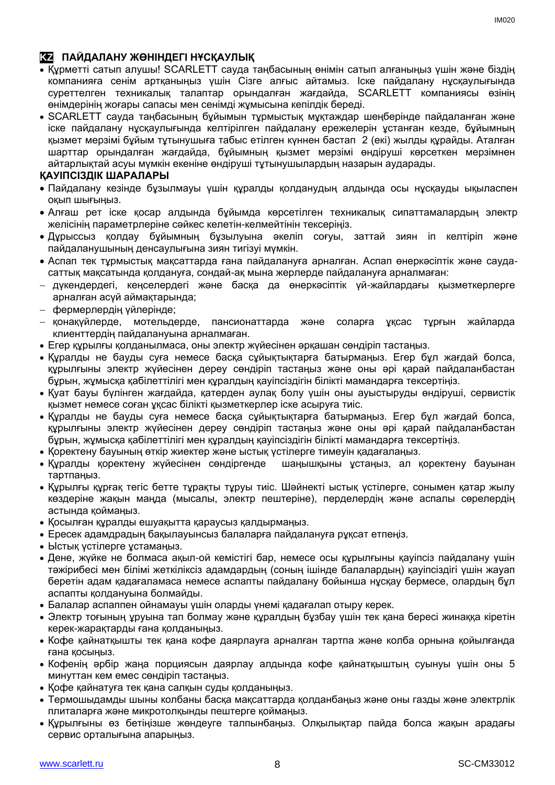#### **KZ ПАЙДАЛАНУ ЖӨНІНДЕГІ НҰСҚАУЛЫҚ**

- Құрметті сатып алушы! SCARLETT сауда таңбасының өнімін сатып алғаныңыз үшін және біздің компанияға сенім артқаныңыз үшін Сізге алғыс айтамыз. Іске пайдалану нұсқаулығында суреттелген техникалық талаптар орындалған жағдайда, SCARLETT компаниясы өзінің өнімдерінің жоғары сапасы мен сенімді жұмысына кепілдік береді.
- SCARLETT сауда таңбасының бұйымын тұрмыстық мұқтаждар шеңберінде пайдаланған және іске пайдалану нұсқаулығында келтірілген пайдалану ережелерін ұстанған кезде, бұйымның қызмет мерзімі бұйым тұтынушыға табыс етілген күннен бастап 2 (екі) жылды құрайды. Аталған шарттар орындалған жағдайда, бұйымның қызмет мерзімі өндіруші көрсеткен мерзімнен айтарлықтай асуы мүмкін екеніне өндіруші тұтынушылардың назарын аударады.

#### **ҚАУІПСІЗДІК ШАРАЛАРЫ**

- Пайдалану кезінде бұзылмауы үшін құралды қолданудың алдында осы нұсқауды ықыласпен оқып шығыңыз.
- Алғаш рет іске қосар алдында бұйымда көрсетілген техникалық сипаттамалардың электр желісінің параметрлеріне сәйкес келетін-келмейтінін тексеріңіз.
- Дұрыссыз қолдау бұйымның бұзылуына әкеліп соғуы, заттай зиян іп келтіріп және пайдаланушының денсаулығына зиян тигізуі мүмкін.
- Аспап тек тұрмыстық мақсаттарда ғана пайдалануға арналған. Аспап өнеркәсіптік және саудасаттық мақсатында қолдануға, сондай-ақ мына жерлерде пайдалануға арналмаған:
- дүкендердегі, кеңселердегі және басқа да өнеркәсіптік үй-жайлардағы қызметкерлерге арналған асүй аймақтарында;
- фермерлердің үйлерінде;
- қонақүйлерде, мотельдерде, пансионаттарда және соларға ұқсас тұрғын жайларда клиенттердің пайдалануына арналмаған.
- Егер құрылғы қолданылмаса, оны электр жүйесінен әрқашан сөндіріп тастаңыз.
- Құралды не бауды суға немесе басқа сұйықтықтарға батырмаңыз. Егер бұл жағдай болса, құрылғыны электр жүйесінен дереу сөндіріп тастаңыз және оны әрі қарай пайдаланбастан бұрын, жұмысқа қабілеттілігі мен құралдың қауіпсіздігін білікті мамандарға тексертіңіз.
- Қуат бауы бүлінген жағдайда, қатерден аулақ болу үшін оны ауыстыруды өндіруші, сервистік қызмет немесе соған ұқсас білікті қызметкерлер іске асыруға тиіс.
- Құралды не бауды суға немесе басқа сұйықтықтарға батырмаңыз. Егер бұл жағдай болса, құрылғыны электр жүйесінен дереу сөндіріп тастаңыз және оны әрі қарай пайдаланбастан бұрын, жұмысқа қабілеттілігі мен құралдың қауіпсіздігін білікті мамандарға тексертіңіз.
- Қоректену бауының өткір жиектер және ыстық үстілерге тимеуін қадағалаңыз.
- Құралды қоректену жүйесінен сөндіргенде шаңышқыны ұстаңыз, ал қоректену бауынан тартпаңыз.
- Құрылғы құрғақ тегіс бетте тұрақты тұруы тиіс. Шәйнекті ыстық үстілерге, сонымен қатар жылу көздеріне жақын маңда (мысалы, электр пештеріне), перделердің және аспалы сөрелердің астында қоймаңыз.
- Қосылған құралды ешуақытта қараусыз қалдырмаңыз.
- Ересек адамдрадың бақылауынсыз балаларға пайдалануға рұқсат етпеңіз.
- Ыстық үстілерге ұстамаңыз.
- Дене, жүйке не болмаса ақыл-ой кемістігі бар, немесе осы құрылғыны қауіпсіз пайдалану үшін тәжірибесі мен білімі жеткіліксіз адамдардың (соның ішінде балалардың) қауіпсіздігі үшін жауап беретін адам қадағаламаса немесе аспапты пайдалану бойынша нұсқау бермесе, олардың бұл аспапты қолдануына болмайды.
- Балалар аспаппен ойнамауы үшін оларды үнемі қадағалап отыру керек.
- Электр тоғының ұруына тап болмау және құралдың бұзбау үшін тек қана бересі жинаққа кіретін керек-жарақтарды ғана қолданыңыз.
- Кофе қайнатқышты тек қана кофе даярлауға арналған тартпа және колба орнына қойылғанда ғана қосыңыз.
- Кофенің әрбір жаңа порциясын даярлау алдында кофе қайнатқыштың суынуы үшін оны 5 минуттан кем емес сөндіріп тастаңыз.
- Қофе қайнатуға тек қана салқын суды қолданыңыз.
- Термошыдамды шыны колбаны басқа мақсаттарда қолданбаңыз және оны газды және электрлік плиталарға және микротолқынды пештерге қоймаңыз.
- Құрылғыны өз бетіңізше жөндеуге талпынбаңыз. Олқылықтар пайда болса жақын арадағы сервис орталығына апарыңыз.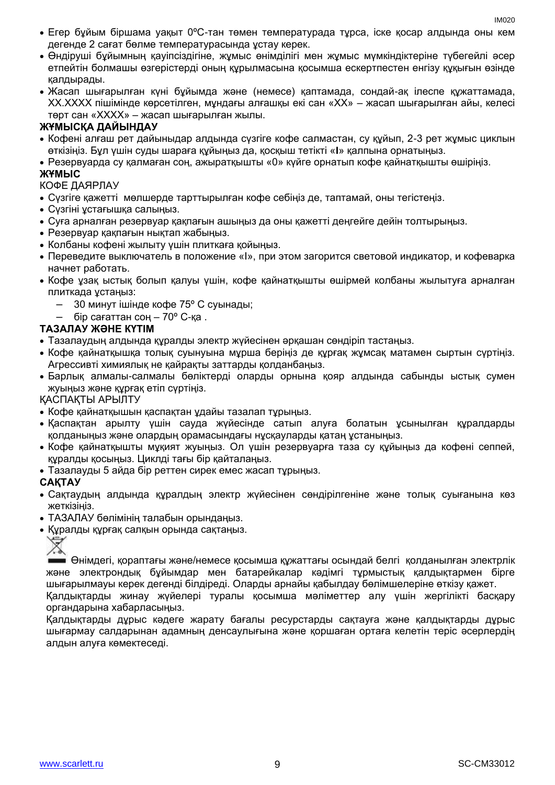- Егер бұйым біршама уақыт 0ºC-тан төмен температурада тұрса, іске қосар алдында оны кем дегенде 2 сағат бөлме температурасында ұстау керек.
- Өндіруші бұйымның қауіпсіздігіне, жұмыс өнімділігі мен жұмыс мүмкіндіктеріне түбегейлі әсер етпейтін болмашы өзгерістерді оның құрылмасына қосымша ескертпестен енгізу құқығын өзінде қалдырады.
- Жасап шығарылған күні бұйымда және (немесе) қаптамада, сондай-ақ ілеспе құжаттамада, XX.XXXX пішімінде көрсетілген, мұндағы алғашқы екі сан «XX» – жасап шығарылған айы, келесі төрт сан «XXXX» – жасап шығарылған жылы.

#### **ЖҰМЫСҚА ДАЙЫНДАУ**

- Кофені алғаш рет дайыныдар алдында сүзгіге кофе салмастан, су құйып, 2-3 рет жұмыс циклын өткізіңіз. Бұл үшін суды шараға құйыңыз да, қосқыш тетікті «**I**» қалпына орнатыңыз.
- Резервуарда су қалмаған соң, ажыратқышты «0» күйге орнатып кофе қайнатқышты өшіріңіз. **ЖҰМЫС**

#### КОФЕ ДАЯРЛАУ

- Сүзгіге қажетті мөлшерде тарттырылған кофе себіңіз де, таптамай, оны тегістеңіз.
- Сүзгіні ұстағышқа салыңыз.
- Суға арналған резервуар қақпағын ашыңыз да оны қажетті деңгейге дейін толтырыңыз.
- Резервуар қақпағын нықтап жабыңыз.
- Колбаны кофені жылыту үшін плиткаға қойыңыз.
- Переведите выключатель в положение «I», при этом загорится световой индикатор, и кофеварка начнет работать.
- Кофе ұзақ ыстық болып қалуы үшін, кофе қайнатқышты өшірмей колбаны жылытуға арналған плиткада ұстаңыз:
	- 30 минут ішінде кофе 75º C суынады;
	- бір сағаттан соң 70º C-қа .

#### **ТАЗАЛАУ ЖӘНЕ КҮТІМ**

- Тазалаудың алдында құралды электр жүйесінен әрқашан сөндіріп тастаңыз.
- Кофе қайнатқышқа толық суынуына мұрша беріңіз де құрғақ жұмсақ матамен сыртын сүртіңіз. Агрессивті химиялық не қайрақты заттарды қолданбаңыз.
- Барлық алмалы-салмалы бөліктерді оларды орнына қояр алдында сабынды ыстық сумен жуыңыз және құрғақ етіп сүртіңіз.

#### ҚАСПАҚТЫ АРЫЛТУ

- Кофе қайнатқышын қаспақтан ұдайы тазалап тұрыңыз.
- Қаспақтан арылту үшін сауда жүйесінде сатып алуға болатын ұсынылған құралдарды қолданыңыз және олардың орамасындағы нұсқауларды қатаң ұстаныңыз.
- Кофе қайнатқышты мұқият жуыңыз. Ол үшін резервуарға таза су құйыңыз да кофені сеппей, құралды қосыңыз. Циклді тағы бір қайталаңыз.
- Тазалауды 5 айда бір реттен сирек емес жасап тұрыңыз.

#### **САҚТАУ**

- Сақтаудың алдында құралдың электр жүйесінен сөндірілгеніне және толық суығанына көз жеткізіңіз.
- ТАЗАЛАУ бөлімінің талабын орындаңыз.
- Құралды құрғақ салқын орында сақтаңыз.



Өнімдегі, қораптағы және/немесе қосымша құжаттағы осындай белгі қолданылған электрлік және электрондық бұйымдар мен батарейкалар кәдімгі тұрмыстық қалдықтармен бірге шығарылмауы керек дегенді білдіреді. Оларды арнайы қабылдау бөлімшелеріне өткізу қажет. Қалдықтарды жинау жүйелері туралы қосымша мәліметтер алу үшін жергілікті басқару органдарына хабарласыңыз.

Қалдықтарды дұрыс кәдеге жарату бағалы ресурстарды сақтауға және қалдықтарды дұрыс шығармау салдарынан адамның денсаулығына және қоршаған ортаға келетін теріс әсерлердің алдын алуға көмектеседі.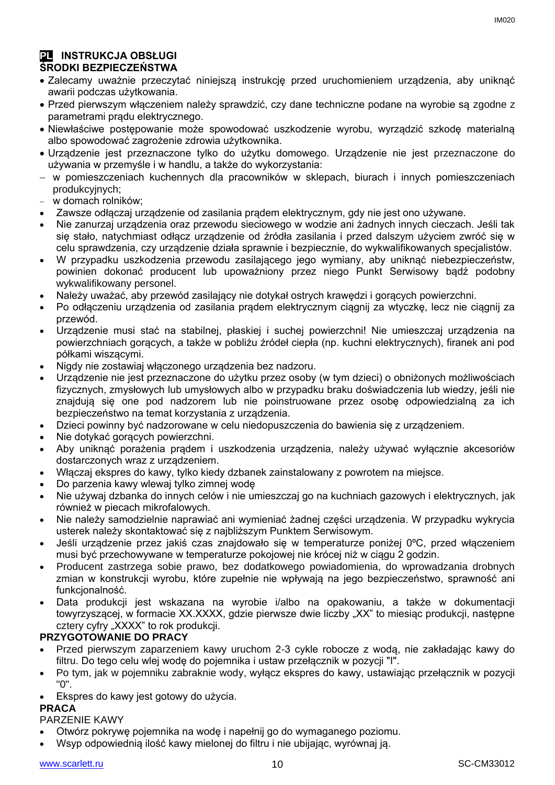## **PL INSTRUKCJA OBSŁUGI**

#### **ŚRODKI BEZPIECZEŃSTWA**

- Zalecamy uważnie przeczytać niniejszą instrukcję przed uruchomieniem urządzenia, aby uniknąć awarii podczas użytkowania.
- Przed pierwszym włączeniem należy sprawdzić, czy dane techniczne podane na wyrobie są zgodne z parametrami prądu elektrycznego.
- Niewłaściwe postępowanie może spowodować uszkodzenie wyrobu, wyrządzić szkodę materialną albo spowodować zagrożenie zdrowia użytkownika.
- Urządzenie jest przeznaczone tylko do użytku domowego. Urządzenie nie jest przeznaczone do używania w przemyśle i w handlu, a także do wykorzystania:
- w pomieszczeniach kuchennych dla pracowników w sklepach, biurach i innych pomieszczeniach produkcyjnych;
- w domach rolników;
- Zawsze odłączaj urządzenie od zasilania prądem elektrycznym, gdy nie jest ono używane.
- Nie zanurzaj urządzenia oraz przewodu sieciowego w wodzie ani żadnych innych cieczach. Jeśli tak się stało, natychmiast odłącz urządzenie od źródła zasilania i przed dalszym użyciem zwróć się w celu sprawdzenia, czy urządzenie działa sprawnie i bezpiecznie, do wykwalifikowanych specjalistów.
- W przypadku uszkodzenia przewodu zasilającego jego wymiany, aby uniknąć niebezpieczeństw, powinien dokonać producent lub upoważniony przez niego Punkt Serwisowy bądź podobny wykwalifikowany personel.
- Należy uważać, aby przewód zasilający nie dotykał ostrych krawędzi i gorących powierzchni.
- Po odłączeniu urządzenia od zasilania prądem elektrycznym ciągnij za wtyczkę, lecz nie ciągnij za przewód.
- Urządzenie musi stać na stabilnej, płaskiej i suchej powierzchni! Nie umieszczaj urządzenia na powierzchniach gorących, a także w pobliżu źródeł ciepła (np. kuchni elektrycznych), firanek ani pod półkami wiszącymi.
- Nigdy nie zostawiaj włączonego urządzenia bez nadzoru.
- Urządzenie nie jest przeznaczone do użytku przez osoby (w tym dzieci) o obniżonych możliwościach fizycznych, zmysłowych lub umysłowych albo w przypadku braku doświadczenia lub wiedzy, jeśli nie znajdują się one pod nadzorem lub nie poinstruowane przez osobę odpowiedzialną za ich bezpieczeństwo na temat korzystania z urządzenia.
- Dzieci powinny być nadzorowane w celu niedopuszczenia do bawienia się z urządzeniem.
- Nie dotykać gorących powierzchni.
- Aby uniknąć porażenia prądem i uszkodzenia urządzenia, należy używać wyłącznie akcesoriów dostarczonych wraz z urządzeniem.
- Włączaj ekspres do kawy, tylko kiedy dzbanek zainstalowany z powrotem na miejsce.
- Do parzenia kawy wlewaj tylko zimnej wodę
- Nie używaj dzbanka do innych celów i nie umieszczaj go na kuchniach gazowych i elektrycznych, jak również w piecach mikrofalowych.
- Nie należy samodzielnie naprawiać ani wymieniać żadnej części urządzenia. W przypadku wykrycia usterek należy skontaktować się z najbliższym Punktem Serwisowym.
- Jeśli urządzenie przez jakiś czas znajdowało się w temperaturze poniżej 0ºC, przed włączeniem musi być przechowywane w temperaturze pokojowej nie krócej niż w ciągu 2 godzin.
- Producent zastrzega sobie prawo, bez dodatkowego powiadomienia, do wprowadzania drobnych zmian w konstrukcji wyrobu, które zupełnie nie wpływają na jego bezpieczeństwo, sprawność ani funkcionalność.
- Data produkcji jest wskazana na wyrobie i/albo na opakowaniu, a także w dokumentacji towyrzyszącej, w formacie XX.XXXX, gdzie pierwsze dwie liczby "XX" to miesiąc produkcji, następne cztery cyfry "XXXX" to rok produkcji.

#### **PRZYGOTOWANIE DO PRACY**

- Przed pierwszym zaparzeniem kawy uruchom 2-3 cykle robocze z wodą, nie zakładając kawy do filtru. Do tego celu wlej wodę do pojemnika i ustaw przełącznik w pozycji "I".
- Po tym, jak w pojemniku zabraknie wody, wyłącz ekspres do kawy, ustawiając przełącznik w pozycji "0".
- Ekspres do kawy jest gotowy do użycia.

#### **PRACA**

PARZENIE KAWY

- Otwórz pokrywę pojemnika na wodę i napełnij go do wymaganego poziomu.
- Wsyp odpowiednią ilość kawy mielonej do filtru i nie ubijając, wyrównaj ją.